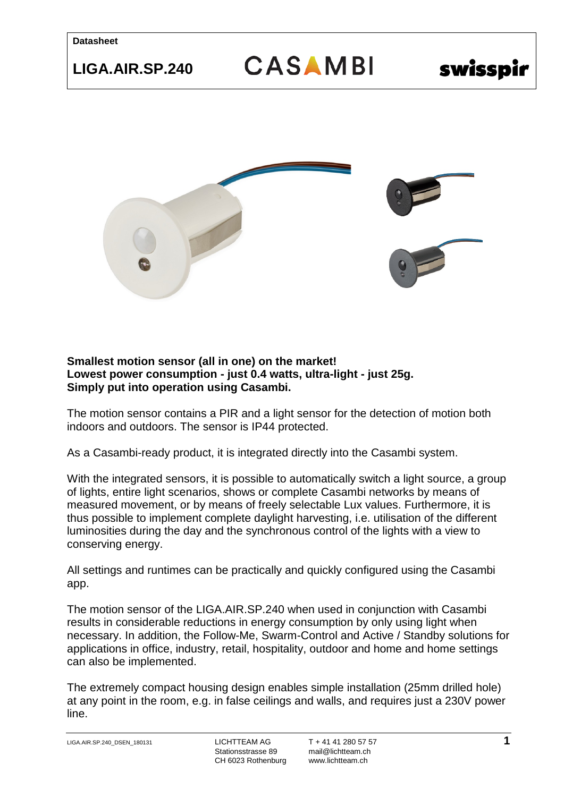CASAMBI



## **Smallest motion sensor (all in one) on the market! Lowest power consumption - just 0.4 watts, ultra-light - just 25g. Simply put into operation using Casambi.**

The motion sensor contains a PIR and a light sensor for the detection of motion both indoors and outdoors. The sensor is IP44 protected.

As a Casambi-ready product, it is integrated directly into the Casambi system.

With the integrated sensors, it is possible to automatically switch a light source, a group of lights, entire light scenarios, shows or complete Casambi networks by means of measured movement, or by means of freely selectable Lux values. Furthermore, it is thus possible to implement complete daylight harvesting, i.e. utilisation of the different luminosities during the day and the synchronous control of the lights with a view to conserving energy.

All settings and runtimes can be practically and quickly configured using the Casambi app.

The motion sensor of the LIGA.AIR.SP.240 when used in conjunction with Casambi results in considerable reductions in energy consumption by only using light when necessary. In addition, the Follow-Me, Swarm-Control and Active / Standby solutions for applications in office, industry, retail, hospitality, outdoor and home and home settings can also be implemented.

The extremely compact housing design enables simple installation (25mm drilled hole) at any point in the room, e.g. in false ceilings and walls, and requires just a 230V power line.